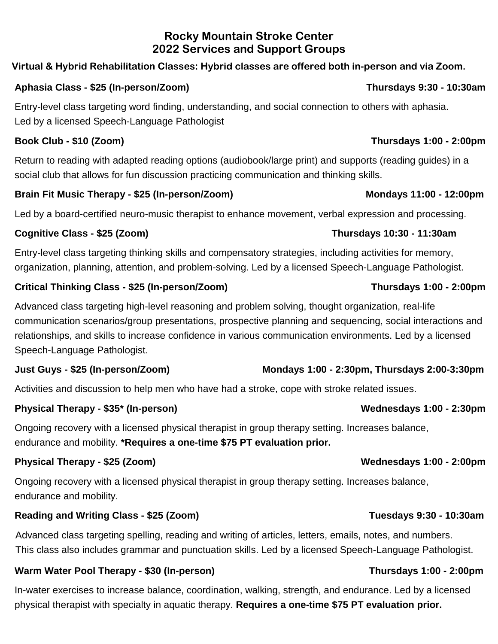## **Rocky Mountain Stroke Center 2022 Services and Support Groups**

## **Virtual & Hybrid Rehabilitation Classes: Hybrid classes are offered both in-person and via Zoom.**

## **Aphasia Class - \$25 (In-person/Zoom) Thursdays 9:30 - 10:30am**

Entry-level class targeting word finding, understanding, and social connection to others with aphasia. Led by a licensed Speech-Language Pathologist

Return to reading with adapted reading options (audiobook/large print) and supports (reading guides) in a social club that allows for fun discussion practicing communication and thinking skills.

## **Brain Fit Music Therapy - \$25 (In-person/Zoom) Mondays 11:00 - 12:00pm**

Led by a board-certified neuro-music therapist to enhance movement, verbal expression and processing.

## **Cognitive Class - \$25 (Zoom) Thursdays 10:30 - 11:30am**

Entry-level class targeting thinking skills and compensatory strategies, including activities for memory, organization, planning, attention, and problem-solving. Led by a licensed Speech-Language Pathologist.

## **Critical Thinking Class - \$25 (In-person/Zoom) Thursdays 1:00 - 2:00pm**

Advanced class targeting high-level reasoning and problem solving, thought organization, real-life communication scenarios/group presentations, prospective planning and sequencing, social interactions and relationships, and skills to increase confidence in various communication environments. Led by a licensed Speech-Language Pathologist.

## **Just Guys - \$25 (In-person/Zoom) Mondays 1:00 - 2:30pm, Thursdays 2:00-3:30pm**

Activities and discussion to help men who have had a stroke, cope with stroke related issues.

## **Physical Therapy - \$35\* (In-person) Wednesdays 1:00 - 2:30pm**

Ongoing recovery with a licensed physical therapist in group therapy setting. Increases balance, endurance and mobility. **\*Requires a one-time \$75 PT evaluation prior.**

## **Physical Therapy - \$25 (Zoom) Wednesdays 1:00 - 2:00pm**

Ongoing recovery with a licensed physical therapist in group therapy setting. Increases balance, endurance and mobility.

## **Reading and Writing Class - \$25 (Zoom) Tuesdays 9:30 - 10:30am**

Advanced class targeting spelling, reading and writing of articles, letters, emails, notes, and numbers. This class also includes grammar and punctuation skills. Led by a licensed Speech-Language Pathologist.

## **Warm Water Pool Therapy - \$30 (In-person) Thursdays 1:00 - 2:00pm**

In-water exercises to increase balance, coordination, walking, strength, and endurance. Led by a licensed physical therapist with specialty in aquatic therapy. **Requires a one-time \$75 PT evaluation prior.**

# **Book Club - \$10 (Zoom) Thursdays 1:00 - 2:00pm**